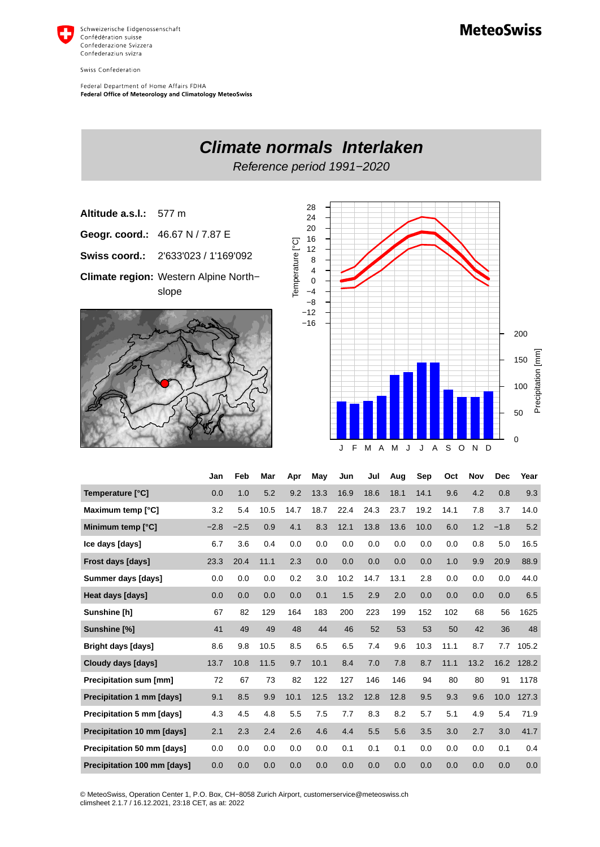

Swiss Confederation

Federal Department of Home Affairs FDHA Federal Office of Meteorology and Climatology MeteoSwiss



| Temperature [°C]              | 0.0    | 1.0    | 5.2  | 9.2  | 13.3 | 16.9 | 18.6 | 18.1 | 14.1 | 9.6  | 4.2  | 0.8    | 9.3   |
|-------------------------------|--------|--------|------|------|------|------|------|------|------|------|------|--------|-------|
| Maximum temp [°C]             | 3.2    | 5.4    | 10.5 | 14.7 | 18.7 | 22.4 | 24.3 | 23.7 | 19.2 | 14.1 | 7.8  | 3.7    | 14.0  |
| Minimum temp [°C]             | $-2.8$ | $-2.5$ | 0.9  | 4.1  | 8.3  | 12.1 | 13.8 | 13.6 | 10.0 | 6.0  | 1.2  | $-1.8$ | 5.2   |
| Ice days [days]               | 6.7    | 3.6    | 0.4  | 0.0  | 0.0  | 0.0  | 0.0  | 0.0  | 0.0  | 0.0  | 0.8  | 5.0    | 16.5  |
| Frost days [days]             | 23.3   | 20.4   | 11.1 | 2.3  | 0.0  | 0.0  | 0.0  | 0.0  | 0.0  | 1.0  | 9.9  | 20.9   | 88.9  |
| Summer days [days]            | 0.0    | 0.0    | 0.0  | 0.2  | 3.0  | 10.2 | 14.7 | 13.1 | 2.8  | 0.0  | 0.0  | 0.0    | 44.0  |
| Heat days [days]              | 0.0    | 0.0    | 0.0  | 0.0  | 0.1  | 1.5  | 2.9  | 2.0  | 0.0  | 0.0  | 0.0  | 0.0    | 6.5   |
| Sunshine [h]                  | 67     | 82     | 129  | 164  | 183  | 200  | 223  | 199  | 152  | 102  | 68   | 56     | 1625  |
| Sunshine [%]                  | 41     | 49     | 49   | 48   | 44   | 46   | 52   | 53   | 53   | 50   | 42   | 36     | 48    |
| <b>Bright days [days]</b>     | 8.6    | 9.8    | 10.5 | 8.5  | 6.5  | 6.5  | 7.4  | 9.6  | 10.3 | 11.1 | 8.7  | 7.7    | 105.2 |
| Cloudy days [days]            | 13.7   | 10.8   | 11.5 | 9.7  | 10.1 | 8.4  | 7.0  | 7.8  | 8.7  | 11.1 | 13.2 | 16.2   | 128.2 |
| <b>Precipitation sum [mm]</b> | 72     | 67     | 73   | 82   | 122  | 127  | 146  | 146  | 94   | 80   | 80   | 91     | 1178  |
| Precipitation 1 mm [days]     | 9.1    | 8.5    | 9.9  | 10.1 | 12.5 | 13.2 | 12.8 | 12.8 | 9.5  | 9.3  | 9.6  | 10.0   | 127.3 |
| Precipitation 5 mm [days]     | 4.3    | 4.5    | 4.8  | 5.5  | 7.5  | 7.7  | 8.3  | 8.2  | 5.7  | 5.1  | 4.9  | 5.4    | 71.9  |
| Precipitation 10 mm [days]    | 2.1    | 2.3    | 2.4  | 2.6  | 4.6  | 4.4  | 5.5  | 5.6  | 3.5  | 3.0  | 2.7  | 3.0    | 41.7  |
| Precipitation 50 mm [days]    | 0.0    | 0.0    | 0.0  | 0.0  | 0.0  | 0.1  | 0.1  | 0.1  | 0.0  | 0.0  | 0.0  | 0.1    | 0.4   |
| Precipitation 100 mm [days]   | 0.0    | 0.0    | 0.0  | 0.0  | 0.0  | 0.0  | 0.0  | 0.0  | 0.0  | 0.0  | 0.0  | 0.0    | 0.0   |

© MeteoSwiss, Operation Center 1, P.O. Box, CH-8058 Zurich Airport, customerservice@meteoswiss.ch<br>climsheet 2.1.7 / 16.12.2021, 23:18 CET, as at: 2022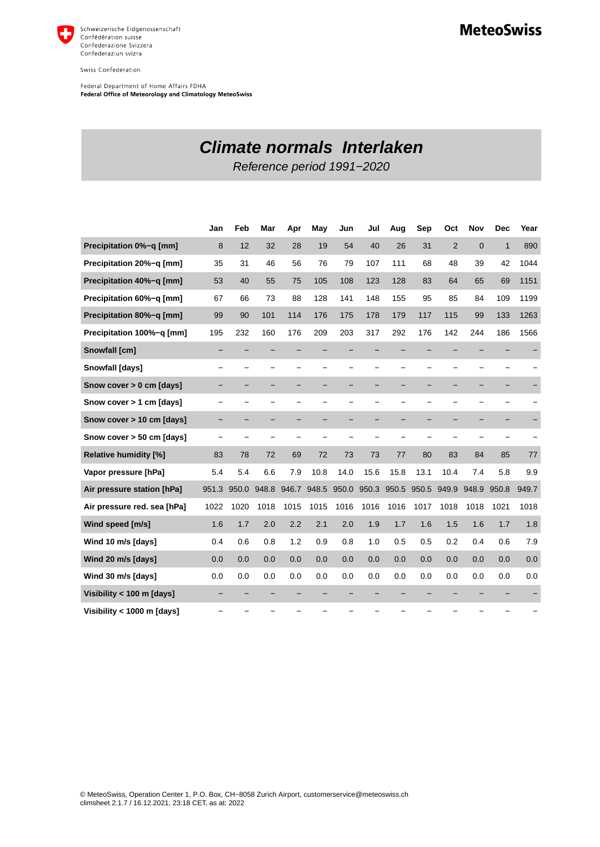

Swiss Confederation

Federal Department of Home Affairs FDHA<br>Federal Office of Meteorology and Climatology MeteoSwiss

## **Climate normals Interlaken**

Reference period 1991−2020

|                              | Jan   | Feb   | Mar   | Apr   | May   | Jun   | Jul                      | Aug   | Sep   | Oct            | <b>Nov</b>     | <b>Dec</b>   | Year  |
|------------------------------|-------|-------|-------|-------|-------|-------|--------------------------|-------|-------|----------------|----------------|--------------|-------|
| Precipitation 0%-g [mm]      | 8     | 12    | 32    | 28    | 19    | 54    | 40                       | 26    | 31    | $\overline{2}$ | $\overline{0}$ | $\mathbf{1}$ | 890   |
| Precipitation 20%-q [mm]     | 35    | 31    | 46    | 56    | 76    | 79    | 107                      | 111   | 68    | 48             | 39             | 42           | 1044  |
| Precipitation 40%-q [mm]     | 53    | 40    | 55    | 75    | 105   | 108   | 123                      | 128   | 83    | 64             | 65             | 69           | 1151  |
| Precipitation 60%-q [mm]     | 67    | 66    | 73    | 88    | 128   | 141   | 148                      | 155   | 95    | 85             | 84             | 109          | 1199  |
| Precipitation 80%-q [mm]     | 99    | 90    | 101   | 114   | 176   | 175   | 178                      | 179   | 117   | 115            | 99             | 133          | 1263  |
| Precipitation 100%-q [mm]    | 195   | 232   | 160   | 176   | 209   | 203   | 317                      | 292   | 176   | 142            | 244            | 186          | 1566  |
| Snowfall [cm]                |       |       |       |       |       |       |                          |       |       |                |                |              |       |
| Snowfall [days]              |       |       |       |       |       |       |                          |       |       |                |                |              |       |
| Snow cover > 0 cm [days]     |       |       |       |       |       | -     | -                        | -     | -     |                |                |              |       |
| Snow cover > 1 cm [days]     |       |       |       |       |       | —     | $\overline{\phantom{0}}$ |       |       |                |                |              |       |
| Snow cover > 10 cm [days]    |       |       |       |       |       |       |                          |       |       |                |                |              |       |
| Snow cover > 50 cm [days]    |       |       |       |       |       |       |                          |       |       |                |                |              |       |
| <b>Relative humidity [%]</b> | 83    | 78    | 72    | 69    | 72    | 73    | 73                       | 77    | 80    | 83             | 84             | 85           | 77    |
| Vapor pressure [hPa]         | 5.4   | 5.4   | 6.6   | 7.9   | 10.8  | 14.0  | 15.6                     | 15.8  | 13.1  | 10.4           | 7.4            | 5.8          | 9.9   |
| Air pressure station [hPa]   | 951.3 | 950.0 | 948.8 | 946.7 | 948.5 | 950.0 | 950.3                    | 950.5 | 950.5 | 949.9          | 948.9          | 950.8        | 949.7 |
| Air pressure red. sea [hPa]  | 1022  | 1020  | 1018  | 1015  | 1015  | 1016  | 1016                     | 1016  | 1017  | 1018           | 1018           | 1021         | 1018  |
| Wind speed [m/s]             | 1.6   | 1.7   | 2.0   | 2.2   | 2.1   | 2.0   | 1.9                      | 1.7   | 1.6   | 1.5            | 1.6            | 1.7          | 1.8   |
| Wind 10 m/s [days]           | 0.4   | 0.6   | 0.8   | 1.2   | 0.9   | 0.8   | 1.0                      | 0.5   | 0.5   | 0.2            | 0.4            | 0.6          | 7.9   |
| Wind 20 m/s [days]           | 0.0   | 0.0   | 0.0   | 0.0   | 0.0   | 0.0   | 0.0                      | 0.0   | 0.0   | 0.0            | 0.0            | 0.0          | 0.0   |
| Wind 30 m/s [days]           | 0.0   | 0.0   | 0.0   | 0.0   | 0.0   | 0.0   | 0.0                      | 0.0   | 0.0   | 0.0            | 0.0            | 0.0          | 0.0   |
| Visibility < 100 m [days]    |       |       |       |       |       |       |                          |       |       |                |                |              |       |
| Visibility < 1000 m [days]   |       |       |       |       |       |       |                          |       |       |                |                |              |       |